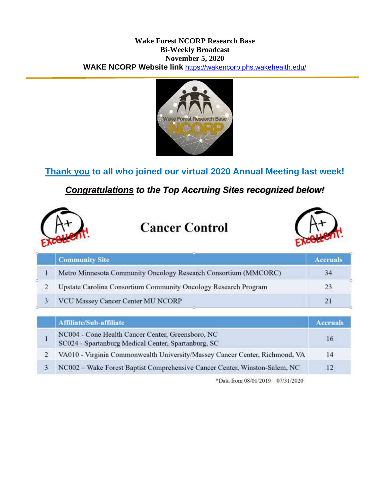#### **Wake Forest NCORP Research Base Bi-Weekly Broadcast November 5, 2020 WAKE NCORP Website link** <https://wakencorp.phs.wakehealth.edu/>



# **Thank you to all who joined our virtual 2020 Annual Meeting last week!**

## *Congratulations to the Top Accruing Sites recognized below!*



# **Cancer Control**



| <b>Community Site</b>                                           | <b>Accruals</b> |
|-----------------------------------------------------------------|-----------------|
| Metro Minnesota Community Oncology Research Consortium (MMCORC) |                 |
| Upstate Carolina Consortium Community Oncology Research Program | 23              |
| VCU Massey Cancer Center MU NCORP                               | 21              |

| <b>Affiliate/Sub-affiliate</b>                                                                           | <b>Accruals</b> |
|----------------------------------------------------------------------------------------------------------|-----------------|
| NC004 - Cone Health Cancer Center, Greensboro, NC<br>SC024 - Spartanburg Medical Center, Spartanburg, SC | 16              |
| VA010 - Virginia Commonwealth University/Massey Cancer Center, Richmond, VA                              | 14              |
| NC002 - Wake Forest Baptist Comprehensive Cancer Center, Winston-Salem, NC                               | 12              |

\*Data from 08/01/2019 - 07/31/2020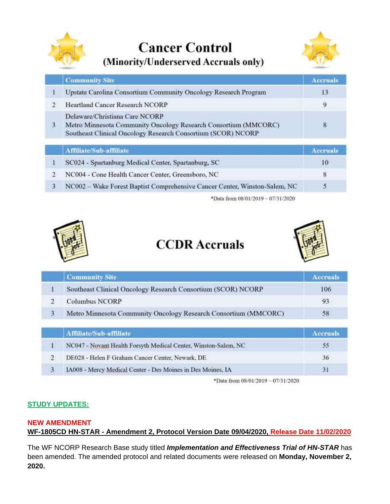

**Cancer Control** (Minority/Underserved Accruals only)



| <b>Community Site</b>                                                                                                                                             | <b>Accruals</b> |
|-------------------------------------------------------------------------------------------------------------------------------------------------------------------|-----------------|
| Upstate Carolina Consortium Community Oncology Research Program                                                                                                   |                 |
| <b>Heartland Cancer Research NCORP</b>                                                                                                                            | o               |
| Delaware/Christiana Care NCORP<br>Metro Minnesota Community Oncology Research Consortium (MMCORC)<br>Southeast Clinical Oncology Research Consortium (SCOR) NCORP | 8               |

|  | <b>Affiliate/Sub-affiliate</b> |  |  |  |
|--|--------------------------------|--|--|--|
|  |                                |  |  |  |

| <b>Affiliate/Sub-affiliate</b>                                             | Accruals |
|----------------------------------------------------------------------------|----------|
| SC024 - Spartanburg Medical Center, Spartanburg, SC                        | 10.      |
| NC004 - Cone Health Cancer Center, Greensboro, NC                          |          |
| NC002 – Wake Forest Baptist Comprehensive Cancer Center, Winston-Salem, NC |          |

\*Data from 08/01/2019 - 07/31/2020



# **CCDR** Accruals



|   | Southeast Clinical Oncology Research Consortium (SCOR) NCORP    | 106 |
|---|-----------------------------------------------------------------|-----|
|   | <b>Columbus NCORP</b>                                           | 93  |
| 3 | Metro Minnesota Community Oncology Research Consortium (MMCORC) | 58  |

|    | <b>\ffiliate/Sub-affiliate</b>                                  |                 |
|----|-----------------------------------------------------------------|-----------------|
|    | NC047 - Novant Health Forsyth Medical Center, Winston-Salem, NC | 35 <sub>1</sub> |
|    | DE028 - Helen F Graham Cancer Center, Newark, DE                | 36              |
| 3. | IA008 - Mercy Medical Center - Des Moines in Des Moines, IA     |                 |

\*Data from 08/01/2019 - 07/31/2020

### **STUDY UPDATES:**

#### **NEW AMENDMENT**

**WF-1805CD HN-STAR - Amendment 2, Protocol Version Date 09/04/2020, Release Date 11/02/2020**

The WF NCORP Research Base study titled *Implementation and Effectiveness Trial of HN-STAR* has been amended. The amended protocol and related documents were released on **Monday, November 2, 2020.**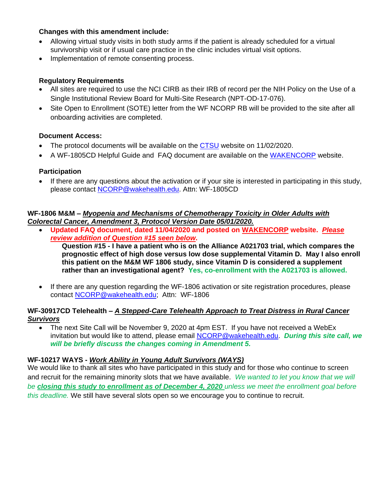#### **Changes with this amendment include:**

- Allowing virtual study visits in both study arms if the patient is already scheduled for a virtual survivorship visit or if usual care practice in the clinic includes virtual visit options.
- Implementation of remote consenting process.

#### **Regulatory Requirements**

- All sites are required to use the NCI CIRB as their IRB of record per the NIH Policy on the Use of a Single Institutional Review Board for Multi-Site Research (NPT-OD-17-076).
- Site Open to Enrollment (SOTE) letter from the WF NCORP RB will be provided to the site after all onboarding activities are completed.

#### **Document Access:**

- The protocol documents will be available on the [CTSU](https://www.ctsu.org/Public/Default.aspx?ReturnUrl=%2f) website on 11/02/2020.
- A WF-1805CD Helpful Guide and FAQ document are available on the [WAKENCORP](https://wakencorp.phs.wakehealth.edu/) website.

#### **Participation**

 If there are any questions about the activation or if your site is interested in participating in this study, please contact [NCORP@wakehealth.edu.](mailto:NCORP@wakehealth.edu) Attn: WF-1805CD

#### **WF-1806 M&M –** *Myopenia and Mechanisms of Chemotherapy Toxicity in Older Adults with Colorectal Cancer, Amendment 3, Protocol Version Date 05/01/2020.*

 **Updated FAQ document, dated 11/04/2020 and posted on [WAKENCORP](https://wakencorp.phs.wakehealth.edu/) website.** *Please review addition of Question #15 seen below***.**

**Question #15 - I have a patient who is on the Alliance A021703 trial, which compares the prognostic effect of high dose versus low dose supplemental Vitamin D. May I also enroll this patient on the M&M WF 1806 study, since Vitamin D is considered a supplement rather than an investigational agent? Yes, co-enrollment with the A021703 is allowed.**

 If there are any question regarding the WF-1806 activation or site registration procedures, please contact [NCORP@wakehealth.edu;](mailto:NCORP@wakehealth.edu) Attn: WF-1806

#### **WF-30917CD Telehealth –** *A Stepped-Care Telehealth Approach to Treat Distress in Rural Cancer Survivors*

 The next Site Call will be November 9, 2020 at 4pm EST. If you have not received a WebEx invitation but would like to attend, please email [NCORP@wakehealth.edu.](mailto:NCORP@wakehealth.edu) *During this site call, we will be briefly discuss the changes coming in Amendment 5.*

#### **WF-10217 WAYS -** *Work Ability in Young Adult Survivors (WAYS)*

We would like to thank all sites who have participated in this study and for those who continue to screen and recruit for the remaining minority slots that we have available. *We wanted to let you know that we will be closing this study to enrollment as of December 4, 2020 unless we meet the enrollment goal before this deadline.* We still have several slots open so we encourage you to continue to recruit.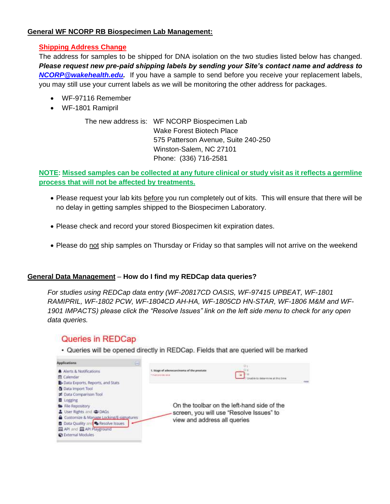#### **General WF NCORP RB Biospecimen Lab Management:**

#### **Shipping Address Change**

The address for samples to be shipped for DNA isolation on the two studies listed below has changed. *Please request new pre-paid shipping labels by sending your Site's contact name and address to [NCORP@wakehealth.edu.](mailto:NCORP@wakehealth.edu)* If you have a sample to send before you receive your replacement labels, you may still use your current labels as we will be monitoring the other address for packages.

- WF-97116 Remember
- WF-1801 Ramipril

The new address is: WF NCORP Biospecimen Lab Wake Forest Biotech Place 575 Patterson Avenue, Suite 240-250 Winston-Salem, NC 27101 Phone: (336) 716-2581

**NOTE: Missed samples can be collected at any future clinical or study visit as it reflects a germline process that will not be affected by treatments.**

- Please request your lab kits before you run completely out of kits. This will ensure that there will be no delay in getting samples shipped to the Biospecimen Laboratory.
- Please check and record your stored Biospecimen kit expiration dates.
- Please do not ship samples on Thursday or Friday so that samples will not arrive on the weekend

#### **General Data Management** – **How do I find my REDCap data queries?**

*For studies using REDCap data entry (WF-20817CD OASIS, WF-97415 UPBEAT, WF-1801 RAMIPRIL, WF-1802 PCW, WF-1804CD AH-HA, WF-1805CD HN-STAR, WF-1806 M&M and WF-1901 IMPACTS) please click the "Resolve Issues" link on the left side menu to check for any open data queries.*

## Queries in REDCap

· Queries will be opened directly in REDCap. Fields that are queried will be marked